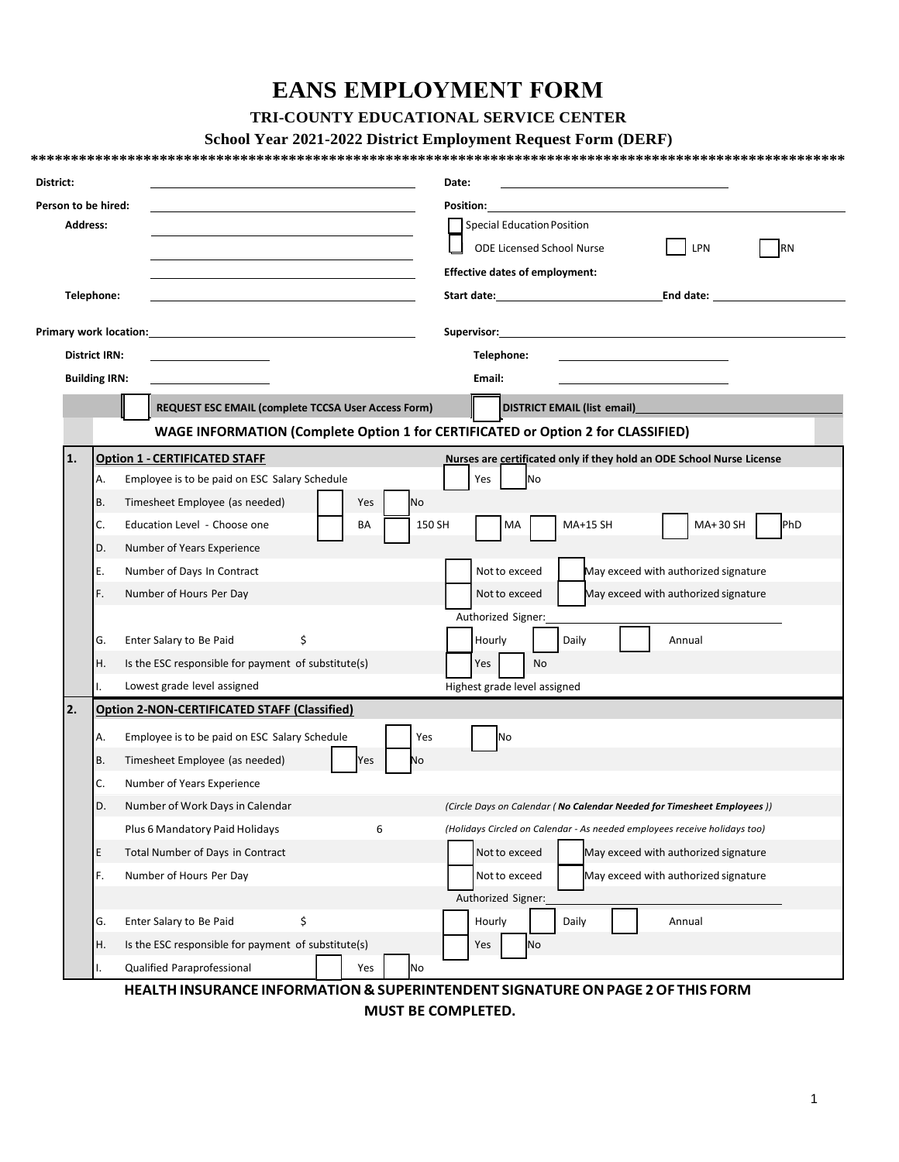# **EANS EMPLOYMENT FORM**

## **TRI-COUNTY EDUCATIONAL SERVICE CENTER**

## **School Year 2021-2022 District Employment Request Form (DERF)**

| District:            |                                                     |                                                                                  | Date:                                                                                                                                                                                                                                                                                                                                            |  |  |  |  |  |
|----------------------|-----------------------------------------------------|----------------------------------------------------------------------------------|--------------------------------------------------------------------------------------------------------------------------------------------------------------------------------------------------------------------------------------------------------------------------------------------------------------------------------------------------|--|--|--|--|--|
|                      | Person to be hired:                                 |                                                                                  | Position:                                                                                                                                                                                                                                                                                                                                        |  |  |  |  |  |
| <b>Address:</b>      |                                                     |                                                                                  | <b>Special Education Position</b>                                                                                                                                                                                                                                                                                                                |  |  |  |  |  |
|                      |                                                     |                                                                                  | <b>ODE Licensed School Nurse</b><br>LPN<br>RN                                                                                                                                                                                                                                                                                                    |  |  |  |  |  |
|                      |                                                     |                                                                                  | <b>Effective dates of employment:</b>                                                                                                                                                                                                                                                                                                            |  |  |  |  |  |
|                      | Telephone:                                          |                                                                                  | End date: and the state of the state of the state of the state of the state of the state of the state of the s<br>Start date: the contract of the contract of the contract of the contract of the contract of the contract of the contract of the contract of the contract of the contract of the contract of the contract of the contract of th |  |  |  |  |  |
|                      |                                                     |                                                                                  | <b>Supervisor:</b> Supervisor: The Supervisor of the Supervisor of the Supervisor of the Supervisor of the Supervisor                                                                                                                                                                                                                            |  |  |  |  |  |
|                      | <b>District IRN:</b>                                |                                                                                  | Telephone:                                                                                                                                                                                                                                                                                                                                       |  |  |  |  |  |
| <b>Building IRN:</b> |                                                     |                                                                                  | Email:                                                                                                                                                                                                                                                                                                                                           |  |  |  |  |  |
|                      |                                                     | REQUEST ESC EMAIL (complete TCCSA User Access Form)                              | DISTRICT EMAIL (list email)                                                                                                                                                                                                                                                                                                                      |  |  |  |  |  |
|                      |                                                     |                                                                                  |                                                                                                                                                                                                                                                                                                                                                  |  |  |  |  |  |
|                      |                                                     | WAGE INFORMATION (Complete Option 1 for CERTIFICATED or Option 2 for CLASSIFIED) |                                                                                                                                                                                                                                                                                                                                                  |  |  |  |  |  |
| 1.                   |                                                     | <b>Option 1 - CERTIFICATED STAFF</b>                                             | Nurses are certificated only if they hold an ODE School Nurse License                                                                                                                                                                                                                                                                            |  |  |  |  |  |
|                      | А.                                                  | Employee is to be paid on ESC Salary Schedule                                    | Yes<br><b>No</b>                                                                                                                                                                                                                                                                                                                                 |  |  |  |  |  |
|                      | В.                                                  | Timesheet Employee (as needed)<br>No.<br>Yes                                     |                                                                                                                                                                                                                                                                                                                                                  |  |  |  |  |  |
|                      | C.                                                  | Education Level - Choose one<br>BA                                               | MA+30 SH<br>MA+15 SH<br>PhD<br>150 SH<br>MA                                                                                                                                                                                                                                                                                                      |  |  |  |  |  |
|                      | D.                                                  | Number of Years Experience                                                       |                                                                                                                                                                                                                                                                                                                                                  |  |  |  |  |  |
|                      | Ε.                                                  | Number of Days In Contract                                                       | Not to exceed<br>May exceed with authorized signature                                                                                                                                                                                                                                                                                            |  |  |  |  |  |
|                      | F.                                                  | Number of Hours Per Day                                                          | Not to exceed<br>May exceed with authorized signature                                                                                                                                                                                                                                                                                            |  |  |  |  |  |
|                      |                                                     |                                                                                  | Authorized Signer:                                                                                                                                                                                                                                                                                                                               |  |  |  |  |  |
|                      | G.                                                  | Enter Salary to Be Paid<br>\$                                                    | Hourly<br>Daily<br>Annual                                                                                                                                                                                                                                                                                                                        |  |  |  |  |  |
|                      | Н.                                                  | Is the ESC responsible for payment of substitute(s)                              | Yes<br>No                                                                                                                                                                                                                                                                                                                                        |  |  |  |  |  |
|                      | Ι.                                                  | Lowest grade level assigned                                                      | Highest grade level assigned                                                                                                                                                                                                                                                                                                                     |  |  |  |  |  |
| 2.                   | <b>Option 2-NON-CERTIFICATED STAFF (Classified)</b> |                                                                                  |                                                                                                                                                                                                                                                                                                                                                  |  |  |  |  |  |
|                      | А.                                                  | Employee is to be paid on ESC Salary Schedule                                    | No<br>Yes                                                                                                                                                                                                                                                                                                                                        |  |  |  |  |  |
|                      | В.                                                  | Timesheet Employee (as needed)<br>Yes<br>No                                      |                                                                                                                                                                                                                                                                                                                                                  |  |  |  |  |  |
|                      | C.                                                  | Number of Years Experience                                                       |                                                                                                                                                                                                                                                                                                                                                  |  |  |  |  |  |
|                      | D.                                                  | Number of Work Days in Calendar                                                  | (Circle Days on Calendar (No Calendar Needed for Timesheet Employees))                                                                                                                                                                                                                                                                           |  |  |  |  |  |
|                      |                                                     | Plus 6 Mandatory Paid Holidays<br>6                                              | (Holidays Circled on Calendar - As needed employees receive holidays too)                                                                                                                                                                                                                                                                        |  |  |  |  |  |
|                      | E                                                   | Total Number of Days in Contract                                                 | Not to exceed<br>May exceed with authorized signature                                                                                                                                                                                                                                                                                            |  |  |  |  |  |
|                      | F.                                                  | Number of Hours Per Day                                                          | Not to exceed<br>May exceed with authorized signature                                                                                                                                                                                                                                                                                            |  |  |  |  |  |
|                      |                                                     |                                                                                  | Authorized Signer:                                                                                                                                                                                                                                                                                                                               |  |  |  |  |  |
|                      | G.                                                  | Enter Salary to Be Paid<br>\$                                                    | Hourly<br>Daily<br>Annual                                                                                                                                                                                                                                                                                                                        |  |  |  |  |  |
|                      | Н.                                                  | Is the ESC responsible for payment of substitute(s)                              | No<br>Yes                                                                                                                                                                                                                                                                                                                                        |  |  |  |  |  |
|                      |                                                     |                                                                                  |                                                                                                                                                                                                                                                                                                                                                  |  |  |  |  |  |

**MUST BE COMPLETED.**